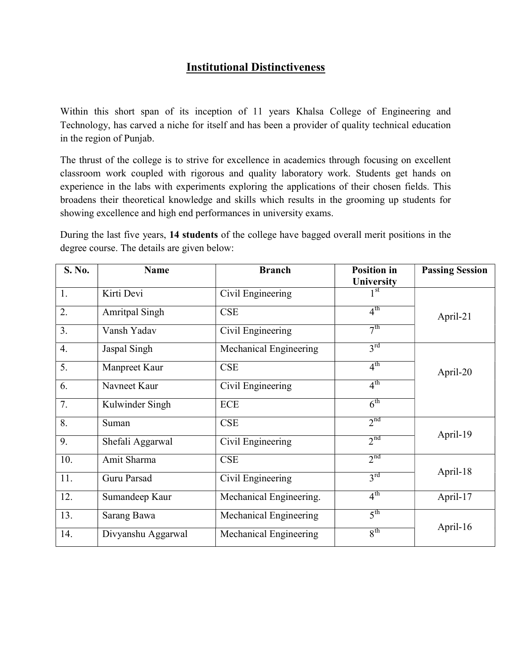# Institutional Distinctiveness

Within this short span of its inception of 11 years Khalsa College of Engineering and Technology, has carved a niche for itself and has been a provider of quality technical education in the region of Punjab.

The thrust of the college is to strive for excellence in academics through focusing on excellent classroom work coupled with rigorous and quality laboratory work. Students get hands on experience in the labs with experiments exploring the applications of their chosen fields. This broadens their theoretical knowledge and skills which results in the grooming up students for showing excellence and high end performances in university exams.

During the last five years, 14 students of the college have bagged overall merit positions in the degree course. The details are given below:

| S. No. | <b>Name</b>           | <b>Branch</b>           | <b>Position in</b><br><b>University</b> | <b>Passing Session</b> |
|--------|-----------------------|-------------------------|-----------------------------------------|------------------------|
| 1.     | Kirti Devi            | Civil Engineering       | $1^{\rm st}$                            |                        |
| 2.     | <b>Amritpal Singh</b> | <b>CSE</b>              | $4^{\text{th}}$                         | April-21               |
| 3.     | Vansh Yadav           | Civil Engineering       | 7 <sup>th</sup>                         |                        |
| 4.     | Jaspal Singh          | Mechanical Engineering  | $3^{\text{rd}}$                         |                        |
| 5.     | Manpreet Kaur         | <b>CSE</b>              | 4 <sup>th</sup>                         | April-20               |
| 6.     | Navneet Kaur          | Civil Engineering       | $4^{\text{th}}$                         |                        |
| 7.     | Kulwinder Singh       | ECE                     | 6 <sup>th</sup>                         |                        |
| 8.     | Suman                 | <b>CSE</b>              | 2 <sup>nd</sup>                         |                        |
| 9.     | Shefali Aggarwal      | Civil Engineering       | $2^{nd}$                                | April-19               |
| 10.    | Amit Sharma           | <b>CSE</b>              | 2 <sup>nd</sup>                         |                        |
| 11.    | Guru Parsad           | Civil Engineering       | $3^{\text{rd}}$                         | April-18               |
| 12.    | Sumandeep Kaur        | Mechanical Engineering. | $4^{\text{th}}$                         | April-17               |
| 13.    | Sarang Bawa           | Mechanical Engineering  | $5^{\text{th}}$                         |                        |
| 14.    | Divyanshu Aggarwal    | Mechanical Engineering  | 8 <sup>th</sup>                         | April-16               |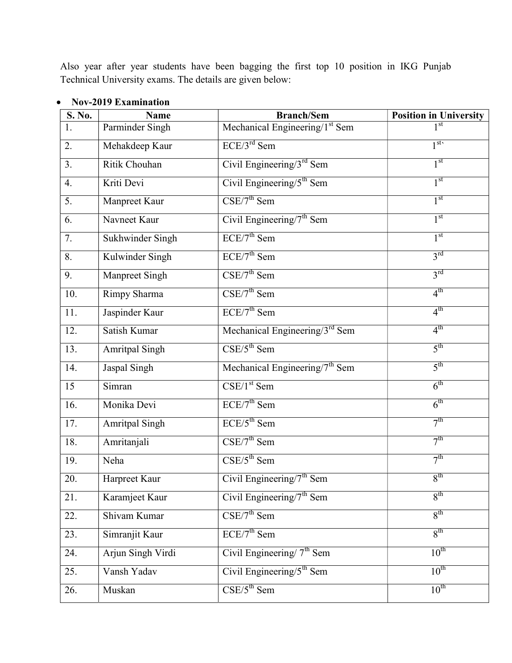Also year after year students have been bagging the first top 10 position in IKG Punjab Technical University exams. The details are given below:

| S. No. | <b>Name</b>           | <b>Branch/Sem</b>                               | <b>Position in University</b> |
|--------|-----------------------|-------------------------------------------------|-------------------------------|
| 1.     | Parminder Singh       | Mechanical Engineering/ $1st$ Sem               |                               |
| 2.     | Mehakdeep Kaur        | $ECE/3^{rd}$ Sem                                | $1^{\text{st}}$               |
| 3.     | Ritik Chouhan         | Civil Engineering/ $3^{rd}$ Sem                 | 1 <sup>st</sup>               |
| 4.     | Kriti Devi            | Civil Engineering/ $5th$ Sem                    | 1 <sup>st</sup>               |
| 5.     | Manpreet Kaur         | $CSE/7^{th}$ Sem                                | 1 <sup>st</sup>               |
| 6.     | Navneet Kaur          | Civil Engineering/ $7th$ Sem                    | 1 <sup>st</sup>               |
| 7.     | Sukhwinder Singh      | $ECE/7th$ Sem                                   | 1 <sup>st</sup>               |
| 8.     | Kulwinder Singh       | $ECE/7$ <sup>th</sup> Sem                       | $3^{\text{rd}}$               |
| 9.     | Manpreet Singh        | $CSE/7^{th}$ Sem                                | $3^{rd}$                      |
| 10.    | Rimpy Sharma          | $CSE/7^{th}$ Sem                                | $4^{\text{th}}$               |
| 11.    | Jaspinder Kaur        | $ECE/7th$ Sem                                   | $4^{\text{th}}$               |
| 12.    | Satish Kumar          | Mechanical Engineering/ $3^{rd}$ Sem            | 4 <sup>th</sup>               |
| 13.    | <b>Amritpal Singh</b> | $\overline{\text{CSE}/5^{\text{th}}}$ Sem       | $5^{\text{th}}$               |
| 14.    | Jaspal Singh          | Mechanical Engineering/7 <sup>th</sup> Sem      | $5^{\text{th}}$               |
| 15     | Simran                | $\overline{\text{CSE}/\text{1}^{\text{st}}$ Sem | 6 <sup>th</sup>               |
| 16.    | Monika Devi           | $ECE/7th$ Sem                                   | $6^{\text{th}}$               |
| 17.    | <b>Amritpal Singh</b> | $ECE/5^{th}$ Sem                                | 7 <sup>th</sup>               |
| 18.    | Amritanjali           | $CSE/7th$ Sem                                   | 7 <sup>th</sup>               |
| 19.    | Neha                  | $CSE/5^{th}$ Sem                                | 7 <sup>th</sup>               |
| 20.    | Harpreet Kaur         | Civil Engineering/7 <sup>th</sup> Sem           | 8 <sup>th</sup>               |
| 21.    | Karamjeet Kaur        | Civil Engineering/ $7th$ Sem                    | $8^{\text{th}}$               |
| 22.    | Shivam Kumar          | $CSE/7^{th}$ Sem                                | $R^{th}$                      |
| 23.    | Simranjit Kaur        | $ECE/7th$ Sem                                   | 8 <sup>th</sup>               |
| 24.    | Arjun Singh Virdi     | Civil Engineering/ $7th$ Sem                    | $10^{\text{th}}$              |
| 25.    | Vansh Yadav           | Civil Engineering/ $5^{\text{th}}$ Sem          | $10^{\text{th}}$              |
| 26.    | Muskan                | $CSE/5^{th}$ Sem                                | $10^{\text{th}}$              |

### Nov-2019 Examination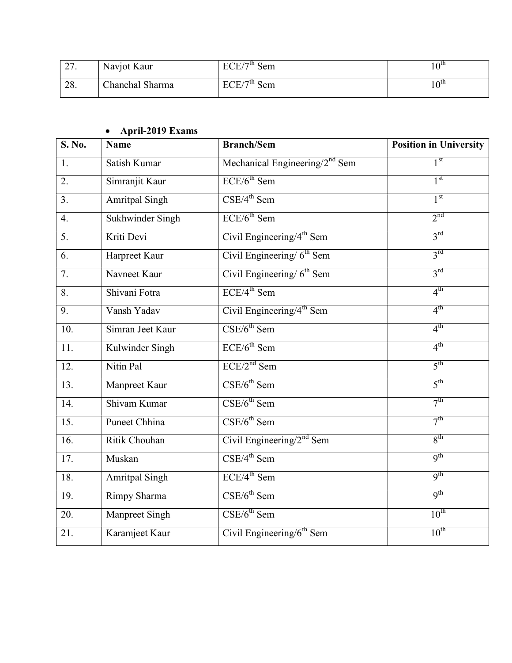| $\mathcal{L}$<br>$\sim$ $\prime$ . | Navjot Kaur     | $FCF/7^{\text{th}}$ Se<br>Sem | $10^{\text{th}}$ |
|------------------------------------|-----------------|-------------------------------|------------------|
| 28.                                | Chanchal Sharma | $FCF/7^{\text{th}}$ Se<br>Sem | $10^{\text{th}}$ |

# April-2019 Exams

| S. No.            | <b>Name</b>           | <b>Branch/Sem</b>                     | <b>Position in University</b> |
|-------------------|-----------------------|---------------------------------------|-------------------------------|
| 1.                | Satish Kumar          | Mechanical Engineering/ $2nd$ Sem     | 1 <sup>st</sup>               |
| 2.                | Simranjit Kaur        | $ECE/6^{th}$ Sem                      | 1 <sup>st</sup>               |
| 3.                | <b>Amritpal Singh</b> | $CSE/4^{th}$ Sem                      | 1 <sup>st</sup>               |
| $\overline{4}$ .  | Sukhwinder Singh      | $ECE/6^{th}$ Sem                      | 2 <sup>nd</sup>               |
| 5.                | Kriti Devi            | Civil Engineering/4 <sup>th</sup> Sem | 3 <sup>rd</sup>               |
| 6.                | Harpreet Kaur         | Civil Engineering/ $6th$ Sem          | 3 <sup>rd</sup>               |
| 7.                | Navneet Kaur          | Civil Engineering/ $6th$ Sem          | $3^{rd}$                      |
| 8.                | Shivani Fotra         | $ECE/4$ <sup>th</sup> Sem             | 4 <sup>th</sup>               |
| 9.                | Vansh Yadav           | Civil Engineering/4 <sup>th</sup> Sem | 4 <sup>th</sup>               |
| 10.               | Simran Jeet Kaur      | $CSE/6^{th}$ Sem                      | $4^{\text{th}}$               |
| 11.               | Kulwinder Singh       | $ECE/6^{th}$ Sem                      | $4^{\text{th}}$               |
| 12.               | Nitin Pal             | $ECE/2nd$ Sem                         | $5^{\text{th}}$               |
| 13.               | Manpreet Kaur         | $CSE/6^{th}$ Sem                      | 5 <sup>th</sup>               |
| 14.               | Shivam Kumar          | $CSE/6^{th}$ Sem                      | 7 <sup>th</sup>               |
| 15.               | Puneet Chhina         | $CSE/6^{th}$ Sem                      | 7 <sup>th</sup>               |
| $\overline{16}$ . | Ritik Chouhan         | Civil Engineering/ $2nd$ Sem          | 8 <sup>th</sup>               |
| 17.               | Muskan                | $CSE/4^{th}$ Sem                      | q <sup>th</sup>               |
| 18.               | Amritpal Singh        | $ECE/4$ <sup>th</sup> Sem             | q <sup>th</sup>               |
| 19.               | Rimpy Sharma          | $CSE/6^{th}$ Sem                      | q <sup>th</sup>               |
| 20.               | Manpreet Singh        | $CSE/6^{th}$ Sem                      | $10^{\text{th}}$              |
| 21.               | Karamjeet Kaur        | Civil Engineering/ $6th$ Sem          | $10^{\text{th}}$              |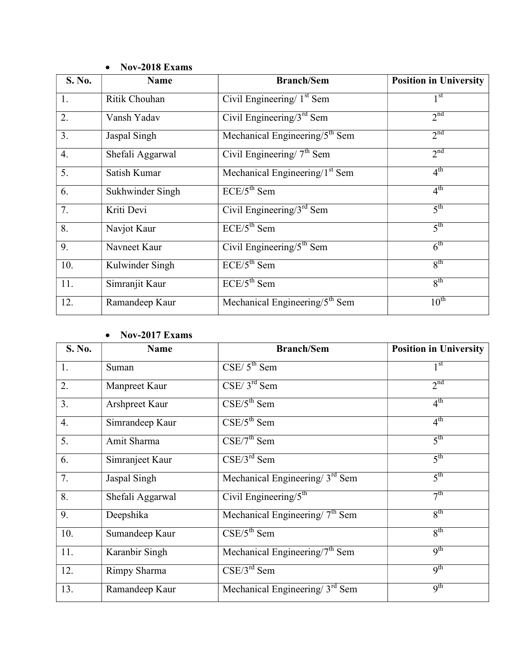| S. No. | <b>Name</b>      | <b>Branch/Sem</b>                                       | <b>Position in University</b> |
|--------|------------------|---------------------------------------------------------|-------------------------------|
| 1.     | Ritik Chouhan    | Civil Engineering/ $1st$ Sem                            | 1 <sup>st</sup>               |
| 2.     | Vansh Yadav      | $\overline{\text{Civil Engineering}}/3^{\text{rd}}$ Sem | 2 <sup>nd</sup>               |
| 3.     | Jaspal Singh     | Mechanical Engineering/5 <sup>th</sup> Sem              | 2 <sup>nd</sup>               |
| 4.     | Shefali Aggarwal | Civil Engineering/ $7th$ Sem                            | 2 <sup>nd</sup>               |
| 5.     | Satish Kumar     | Mechanical Engineering/ $1st$ Sem                       | 4 <sup>th</sup>               |
| 6.     | Sukhwinder Singh | $ECE/5th$ Sem                                           | 4 <sup>th</sup>               |
| 7.     | Kriti Devi       | Civil Engineering/ $3rd$ Sem                            | 5 <sup>th</sup>               |
| 8.     | Navjot Kaur      | $ECE/5th$ Sem                                           | 5 <sup>th</sup>               |
| 9.     | Navneet Kaur     | Civil Engineering/ $5th$ Sem                            | 6 <sup>th</sup>               |
| 10.    | Kulwinder Singh  | $ECE/5^{th}$ Sem                                        | 8 <sup>th</sup>               |
| 11.    | Simranjit Kaur   | $ECE/5^{th}$ Sem                                        | $8^{\text{th}}$               |
| 12.    | Ramandeep Kaur   | Mechanical Engineering/ $5th$ Sem                       | $10^{th}$                     |

## Nov-2018 Exams

### • Nov-2017 Exams

| S. No. | <b>Name</b>      | <b>Branch/Sem</b>                 | <b>Position in University</b> |
|--------|------------------|-----------------------------------|-------------------------------|
| 1.     | Suman            | $CSE/5^{th}$ Sem                  | 1 <sup>st</sup>               |
| 2.     | Manpreet Kaur    | $CSE/3^{rd}$ Sem                  | $2^{nd}$                      |
| 3.     | Arshpreet Kaur   | $CSE/5^{th}$ Sem                  | $4^{\text{th}}$               |
| 4.     | Simrandeep Kaur  | $CSE/5^{th}$ Sem                  | $4^{\text{th}}$               |
| 5.     | Amit Sharma      | $CSE/7^{th}$ Sem                  | $5^{\text{th}}$               |
| 6.     | Simranjeet Kaur  | $CSE/3^{rd}$ Sem                  | $5^{\text{th}}$               |
| 7.     | Jaspal Singh     | Mechanical Engineering/ $3rd$ Sem | $5^{\text{th}}$               |
| 8.     | Shefali Aggarwal | Civil Engineering/ $5th$          | 7 <sup>th</sup>               |
| 9.     | Deepshika        | Mechanical Engineering/ $7th$ Sem | $8^{\text{th}}$               |
| 10.    | Sumandeep Kaur   | $CSE/5^{th}$ Sem                  | 8 <sup>th</sup>               |
| 11.    | Karanbir Singh   | Mechanical Engineering/ $7th$ Sem | $q^{th}$                      |
| 12.    | Rimpy Sharma     | $CSE/3^{rd}$ Sem                  | 9 <sup>th</sup>               |
| 13.    | Ramandeep Kaur   | Mechanical Engineering/ $3rd$ Sem | q <sup>th</sup>               |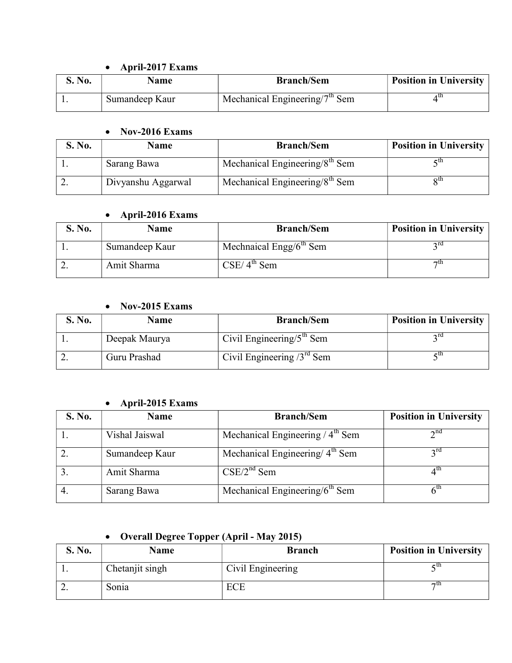## April-2017 Exams

| S. No. | <b>Name</b>    | <b>Branch/Sem</b>                                | <b>Position in University</b> |
|--------|----------------|--------------------------------------------------|-------------------------------|
|        | Sumandeep Kaur | $\mu$ Mechanical Engineering/7 <sup>th</sup> Sem | 4 th                          |

#### Nov-2016 Exams

| S. No. | Name               | <b>Branch/Sem</b>                          | <b>Position in University</b> |
|--------|--------------------|--------------------------------------------|-------------------------------|
|        | Sarang Bawa        | Mechanical Engineering/8 <sup>th</sup> Sem |                               |
|        | Divyanshu Aggarwal | Mechanical Engineering/ $8th$ Sem          | οm                            |

## April-2016 Exams

| S. No. | <b>Name</b>    | <b>Branch/Sem</b>          | <b>Position in University</b> |
|--------|----------------|----------------------------|-------------------------------|
|        | Sumandeep Kaur | Mechnaical Engg/ $6th$ Sem | ∍ra                           |
|        | Amit Sharma    | $CSE/4^{th}$ Sem           | πth                           |

### Nov-2015 Exams

| S. No. | Name          | <b>Branch/Sem</b>            | <b>Position in University</b> |
|--------|---------------|------------------------------|-------------------------------|
|        | Deepak Maurya | Civil Engineering/ $5th$ Sem |                               |
|        | Guru Prashad  | Civil Engineering $3rd$ Sem  | - tn                          |

## April-2015 Exams

| S. No. | <b>Name</b>    | <b>Branch/Sem</b>                           | <b>Position in University</b> |
|--------|----------------|---------------------------------------------|-------------------------------|
|        | Vishal Jaiswal | Mechanical Engineering $/4th$ Sem           | $2^{nd}$                      |
|        | Sumandeep Kaur | Mechanical Engineering/ 4 <sup>th</sup> Sem | $2^{\text{rd}}$               |
|        | Amit Sharma    | $CSE/2^{nd}$ Sem                            | 4 <sup>th</sup>               |
|        | Sarang Bawa    | Mechanical Engineering/6 <sup>th</sup> Sem  | $\mathsf{K}^{\text{In}}$      |

# Overall Degree Topper (April - May 2015)

| S. No.   | <b>Name</b>     | <b>Branch</b>     | <b>Position in University</b> |
|----------|-----------------|-------------------|-------------------------------|
| . .      | Chetanjit singh | Civil Engineering | - u1                          |
| <u>.</u> | Sonia           |                   | <b>7U</b>                     |